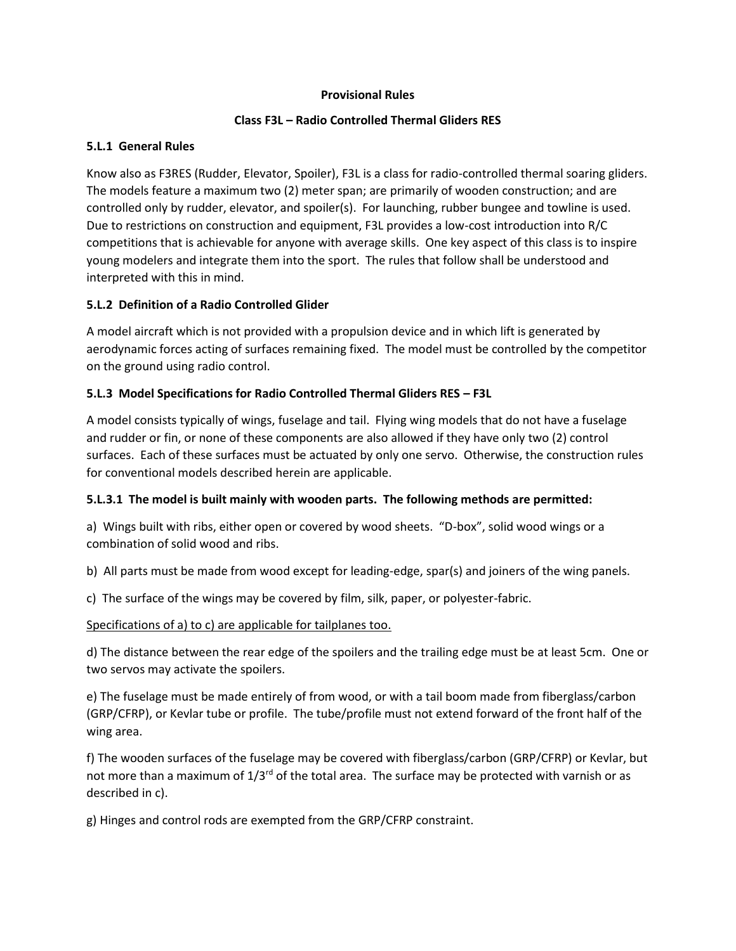#### **Provisional Rules**

### **Class F3L – Radio Controlled Thermal Gliders RES**

### **5.L.1 General Rules**

Know also as F3RES (Rudder, Elevator, Spoiler), F3L is a class for radio-controlled thermal soaring gliders. The models feature a maximum two (2) meter span; are primarily of wooden construction; and are controlled only by rudder, elevator, and spoiler(s). For launching, rubber bungee and towline is used. Due to restrictions on construction and equipment, F3L provides a low-cost introduction into R/C competitions that is achievable for anyone with average skills. One key aspect of this class is to inspire young modelers and integrate them into the sport. The rules that follow shall be understood and interpreted with this in mind.

# **5.L.2 Definition of a Radio Controlled Glider**

A model aircraft which is not provided with a propulsion device and in which lift is generated by aerodynamic forces acting of surfaces remaining fixed. The model must be controlled by the competitor on the ground using radio control.

### **5.L.3 Model Specifications for Radio Controlled Thermal Gliders RES – F3L**

A model consists typically of wings, fuselage and tail. Flying wing models that do not have a fuselage and rudder or fin, or none of these components are also allowed if they have only two (2) control surfaces. Each of these surfaces must be actuated by only one servo. Otherwise, the construction rules for conventional models described herein are applicable.

#### **5.L.3.1 The model is built mainly with wooden parts. The following methods are permitted:**

a) Wings built with ribs, either open or covered by wood sheets. "D-box", solid wood wings or a combination of solid wood and ribs.

b) All parts must be made from wood except for leading-edge, spar(s) and joiners of the wing panels.

c) The surface of the wings may be covered by film, silk, paper, or polyester-fabric.

#### Specifications of a) to c) are applicable for tailplanes too.

d) The distance between the rear edge of the spoilers and the trailing edge must be at least 5cm. One or two servos may activate the spoilers.

e) The fuselage must be made entirely of from wood, or with a tail boom made from fiberglass/carbon (GRP/CFRP), or Kevlar tube or profile. The tube/profile must not extend forward of the front half of the wing area.

f) The wooden surfaces of the fuselage may be covered with fiberglass/carbon (GRP/CFRP) or Kevlar, but not more than a maximum of  $1/3^{rd}$  of the total area. The surface may be protected with varnish or as described in c).

g) Hinges and control rods are exempted from the GRP/CFRP constraint.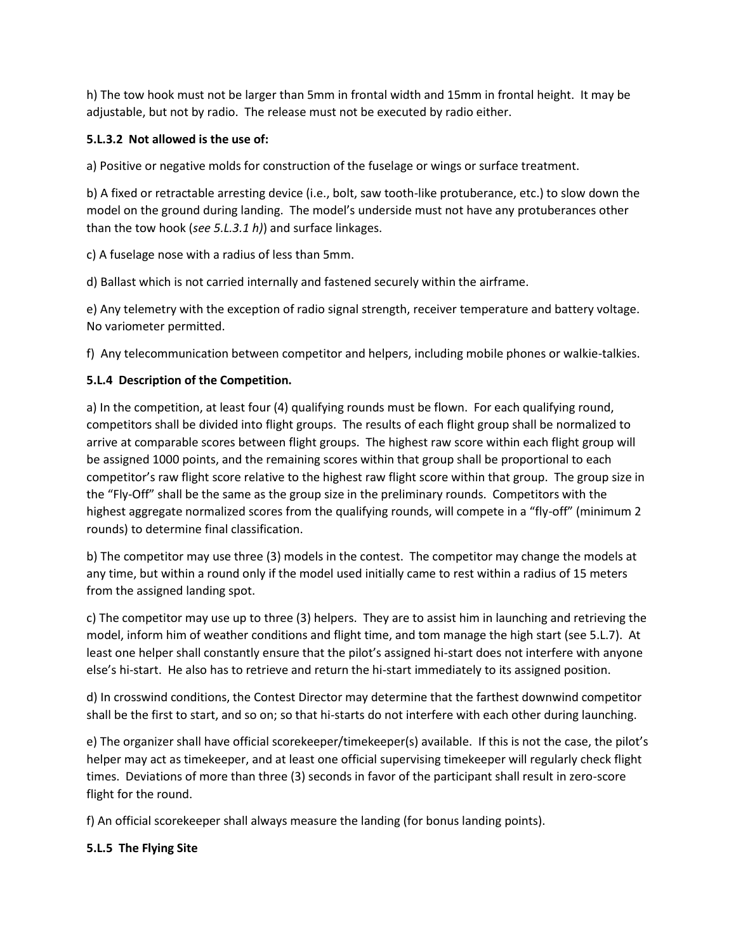h) The tow hook must not be larger than 5mm in frontal width and 15mm in frontal height. It may be adjustable, but not by radio. The release must not be executed by radio either.

### **5.L.3.2 Not allowed is the use of:**

a) Positive or negative molds for construction of the fuselage or wings or surface treatment.

b) A fixed or retractable arresting device (i.e., bolt, saw tooth-like protuberance, etc.) to slow down the model on the ground during landing. The model's underside must not have any protuberances other than the tow hook (*see 5.L.3.1 h)*) and surface linkages.

c) A fuselage nose with a radius of less than 5mm.

d) Ballast which is not carried internally and fastened securely within the airframe.

e) Any telemetry with the exception of radio signal strength, receiver temperature and battery voltage. No variometer permitted.

f) Any telecommunication between competitor and helpers, including mobile phones or walkie-talkies.

### **5.L.4 Description of the Competition.**

a) In the competition, at least four (4) qualifying rounds must be flown. For each qualifying round, competitors shall be divided into flight groups. The results of each flight group shall be normalized to arrive at comparable scores between flight groups. The highest raw score within each flight group will be assigned 1000 points, and the remaining scores within that group shall be proportional to each competitor's raw flight score relative to the highest raw flight score within that group. The group size in the "Fly-Off" shall be the same as the group size in the preliminary rounds. Competitors with the highest aggregate normalized scores from the qualifying rounds, will compete in a "fly-off" (minimum 2 rounds) to determine final classification.

b) The competitor may use three (3) models in the contest. The competitor may change the models at any time, but within a round only if the model used initially came to rest within a radius of 15 meters from the assigned landing spot.

c) The competitor may use up to three (3) helpers. They are to assist him in launching and retrieving the model, inform him of weather conditions and flight time, and tom manage the high start (see 5.L.7). At least one helper shall constantly ensure that the pilot's assigned hi-start does not interfere with anyone else's hi-start. He also has to retrieve and return the hi-start immediately to its assigned position.

d) In crosswind conditions, the Contest Director may determine that the farthest downwind competitor shall be the first to start, and so on; so that hi-starts do not interfere with each other during launching.

e) The organizer shall have official scorekeeper/timekeeper(s) available. If this is not the case, the pilot's helper may act as timekeeper, and at least one official supervising timekeeper will regularly check flight times. Deviations of more than three (3) seconds in favor of the participant shall result in zero-score flight for the round.

f) An official scorekeeper shall always measure the landing (for bonus landing points).

#### **5.L.5 The Flying Site**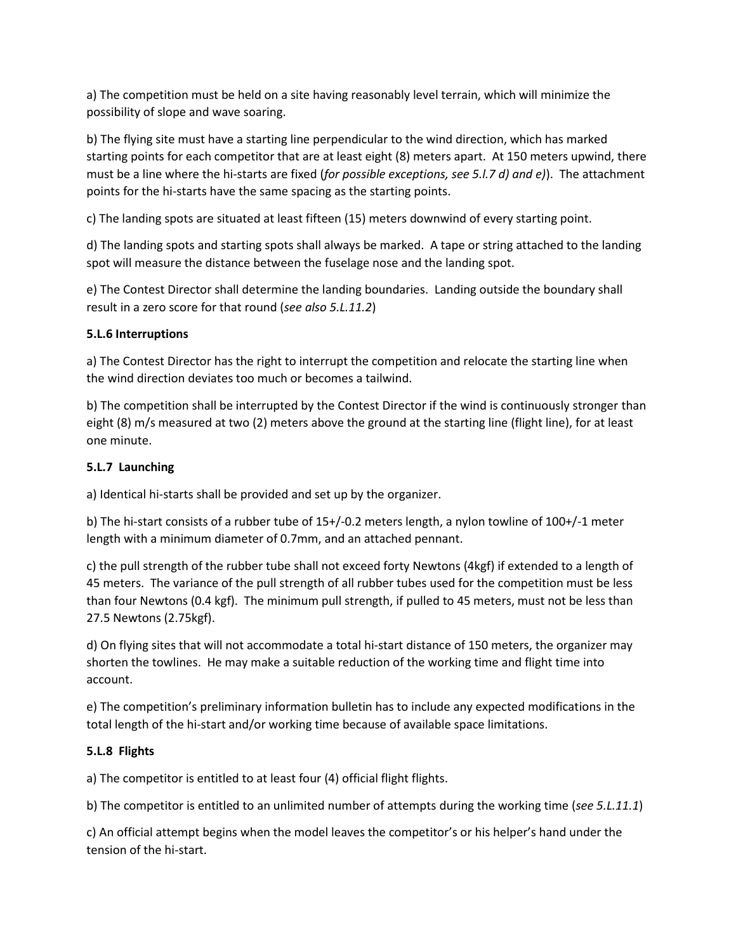a) The competition must be held on a site having reasonably level terrain, which will minimize the possibility of slope and wave soaring.

b) The flying site must have a starting line perpendicular to the wind direction, which has marked starting points for each competitor that are at least eight (8) meters apart. At 150 meters upwind, there must be a line where the hi-starts are fixed (*for possible exceptions, see 5.l.7 d) and e)*). The attachment points for the hi-starts have the same spacing as the starting points.

c) The landing spots are situated at least fifteen (15) meters downwind of every starting point.

d) The landing spots and starting spots shall always be marked. A tape or string attached to the landing spot will measure the distance between the fuselage nose and the landing spot.

e) The Contest Director shall determine the landing boundaries. Landing outside the boundary shall result in a zero score for that round (*see also 5.L.11.2*)

# **5.L.6 Interruptions**

a) The Contest Director has the right to interrupt the competition and relocate the starting line when the wind direction deviates too much or becomes a tailwind.

b) The competition shall be interrupted by the Contest Director if the wind is continuously stronger than eight (8) m/s measured at two (2) meters above the ground at the starting line (flight line), for at least one minute.

### **5.L.7 Launching**

a) Identical hi-starts shall be provided and set up by the organizer.

b) The hi-start consists of a rubber tube of 15+/-0.2 meters length, a nylon towline of 100+/-1 meter length with a minimum diameter of 0.7mm, and an attached pennant.

c) the pull strength of the rubber tube shall not exceed forty Newtons (4kgf) if extended to a length of 45 meters. The variance of the pull strength of all rubber tubes used for the competition must be less than four Newtons (0.4 kgf). The minimum pull strength, if pulled to 45 meters, must not be less than 27.5 Newtons (2.75kgf).

d) On flying sites that will not accommodate a total hi-start distance of 150 meters, the organizer may shorten the towlines. He may make a suitable reduction of the working time and flight time into account.

e) The competition's preliminary information bulletin has to include any expected modifications in the total length of the hi-start and/or working time because of available space limitations.

#### **5.L.8 Flights**

a) The competitor is entitled to at least four (4) official flight flights.

b) The competitor is entitled to an unlimited number of attempts during the working time (*see 5.L.11.1*)

c) An official attempt begins when the model leaves the competitor's or his helper's hand under the tension of the hi-start.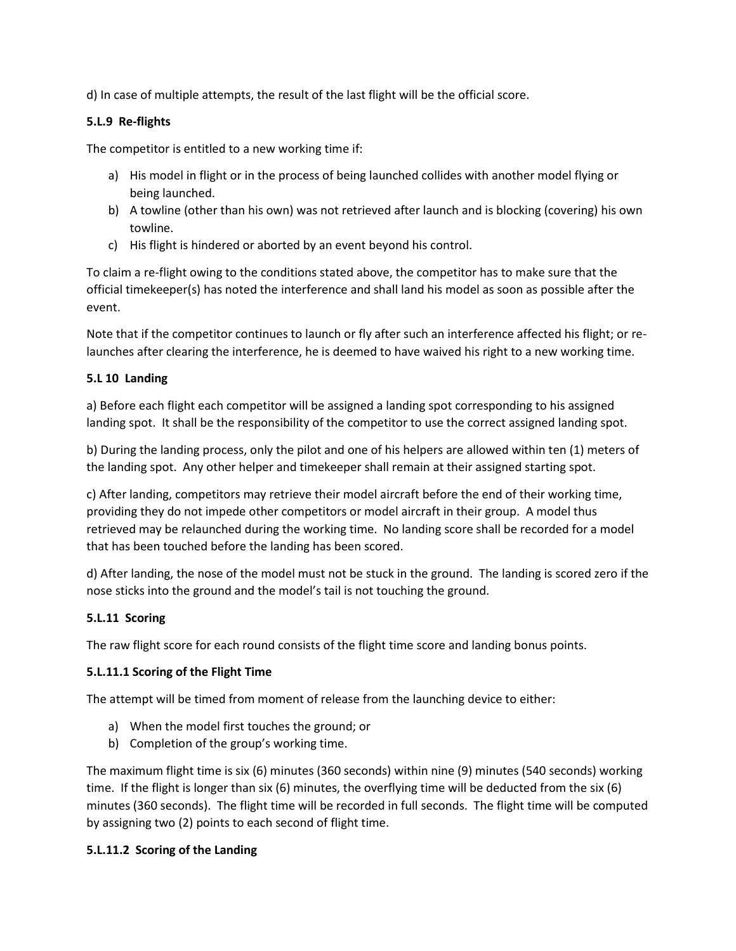d) In case of multiple attempts, the result of the last flight will be the official score.

# **5.L.9 Re-flights**

The competitor is entitled to a new working time if:

- a) His model in flight or in the process of being launched collides with another model flying or being launched.
- b) A towline (other than his own) was not retrieved after launch and is blocking (covering) his own towline.
- c) His flight is hindered or aborted by an event beyond his control.

To claim a re-flight owing to the conditions stated above, the competitor has to make sure that the official timekeeper(s) has noted the interference and shall land his model as soon as possible after the event.

Note that if the competitor continues to launch or fly after such an interference affected his flight; or relaunches after clearing the interference, he is deemed to have waived his right to a new working time.

# **5.L 10 Landing**

a) Before each flight each competitor will be assigned a landing spot corresponding to his assigned landing spot. It shall be the responsibility of the competitor to use the correct assigned landing spot.

b) During the landing process, only the pilot and one of his helpers are allowed within ten (1) meters of the landing spot. Any other helper and timekeeper shall remain at their assigned starting spot.

c) After landing, competitors may retrieve their model aircraft before the end of their working time, providing they do not impede other competitors or model aircraft in their group. A model thus retrieved may be relaunched during the working time. No landing score shall be recorded for a model that has been touched before the landing has been scored.

d) After landing, the nose of the model must not be stuck in the ground. The landing is scored zero if the nose sticks into the ground and the model's tail is not touching the ground.

# **5.L.11 Scoring**

The raw flight score for each round consists of the flight time score and landing bonus points.

# **5.L.11.1 Scoring of the Flight Time**

The attempt will be timed from moment of release from the launching device to either:

- a) When the model first touches the ground; or
- b) Completion of the group's working time.

The maximum flight time is six (6) minutes (360 seconds) within nine (9) minutes (540 seconds) working time. If the flight is longer than six (6) minutes, the overflying time will be deducted from the six (6) minutes (360 seconds). The flight time will be recorded in full seconds. The flight time will be computed by assigning two (2) points to each second of flight time.

# **5.L.11.2 Scoring of the Landing**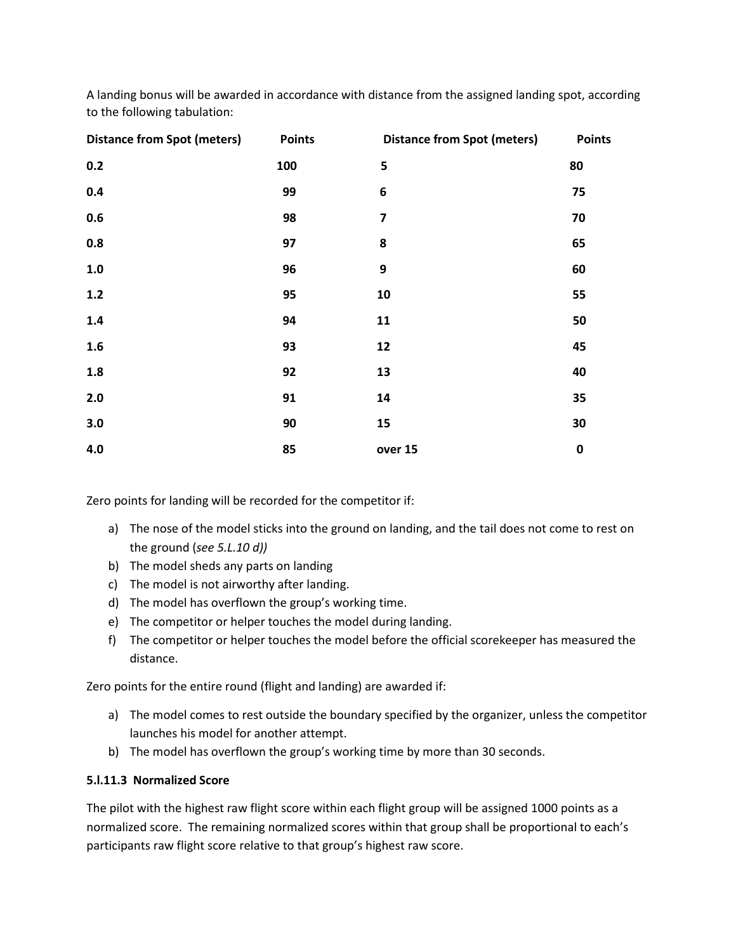A landing bonus will be awarded in accordance with distance from the assigned landing spot, according to the following tabulation:

| <b>Distance from Spot (meters)</b> | <b>Points</b> | <b>Distance from Spot (meters)</b> | <b>Points</b> |
|------------------------------------|---------------|------------------------------------|---------------|
| 0.2                                | 100           | 5                                  | 80            |
| 0.4                                | 99            | $\bf 6$                            | 75            |
| 0.6                                | 98            | $\overline{\mathbf{z}}$            | 70            |
| 0.8                                | 97            | 8                                  | 65            |
| $1.0$                              | 96            | 9                                  | 60            |
| 1.2                                | 95            | 10                                 | 55            |
| 1.4                                | 94            | 11                                 | 50            |
| 1.6                                | 93            | 12                                 | 45            |
| $1.8\,$                            | 92            | 13                                 | 40            |
| 2.0                                | 91            | 14                                 | 35            |
| 3.0                                | 90            | 15                                 | 30            |
| 4.0                                | 85            | over 15                            | $\pmb{0}$     |

Zero points for landing will be recorded for the competitor if:

- a) The nose of the model sticks into the ground on landing, and the tail does not come to rest on the ground (*see 5.L.10 d))*
- b) The model sheds any parts on landing
- c) The model is not airworthy after landing.
- d) The model has overflown the group's working time.
- e) The competitor or helper touches the model during landing.
- f) The competitor or helper touches the model before the official scorekeeper has measured the distance.

Zero points for the entire round (flight and landing) are awarded if:

- a) The model comes to rest outside the boundary specified by the organizer, unless the competitor launches his model for another attempt.
- b) The model has overflown the group's working time by more than 30 seconds.

#### **5.l.11.3 Normalized Score**

The pilot with the highest raw flight score within each flight group will be assigned 1000 points as a normalized score. The remaining normalized scores within that group shall be proportional to each's participants raw flight score relative to that group's highest raw score.